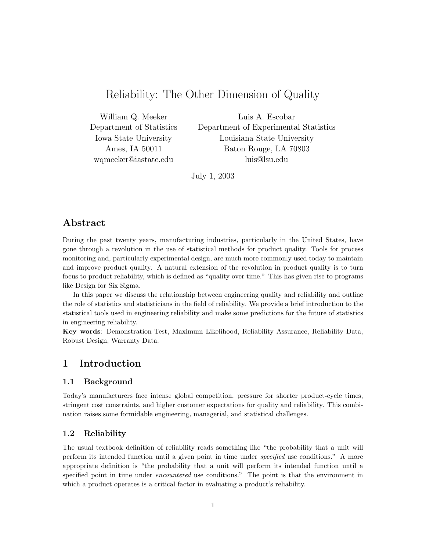# Reliability: The Other Dimension of Quality

William Q. Meeker Department of Statistics Iowa State University Ames, IA 50011 wqmeeker@iastate.edu

Luis A. Escobar Department of Experimental Statistics Louisiana State University Baton Rouge, LA 70803 luis@lsu.edu

July 1, 2003

# **Abstract**

During the past twenty years, manufacturing industries, particularly in the United States, have gone through a revolution in the use of statistical methods for product quality. Tools for process monitoring and, particularly experimental design, are much more commonly used today to maintain and improve product quality. A natural extension of the revolution in product quality is to turn focus to product reliability, which is defined as "quality over time." This has given rise to programs like Design for Six Sigma.

In this paper we discuss the relationship between engineering quality and reliability and outline the role of statistics and statisticians in the field of reliability. We provide a brief introduction to the statistical tools used in engineering reliability and make some predictions for the future of statistics in engineering reliability.

**Key words**: Demonstration Test, Maximum Likelihood, Reliability Assurance, Reliability Data, Robust Design, Warranty Data.

# **1 Introduction**

### **1.1 Background**

Today's manufacturers face intense global competition, pressure for shorter product-cycle times, stringent cost constraints, and higher customer expectations for quality and reliability. This combination raises some formidable engineering, managerial, and statistical challenges.

### **1.2 Reliability**

The usual textbook definition of reliability reads something like "the probability that a unit will perform its intended function until a given point in time under *specified* use conditions." A more appropriate definition is "the probability that a unit will perform its intended function until a specified point in time under *encountered* use conditions." The point is that the environment in which a product operates is a critical factor in evaluating a product's reliability.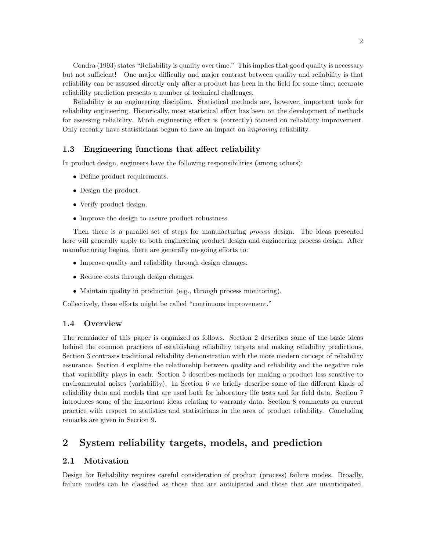Condra (1993) states "Reliability is quality over time." This implies that good quality is necessary but not sufficient! One major difficulty and major contrast between quality and reliability is that reliability can be assessed directly only after a product has been in the field for some time; accurate reliability prediction presents a number of technical challenges.

Reliability is an engineering discipline. Statistical methods are, however, important tools for reliability engineering. Historically, most statistical effort has been on the development of methods for assessing reliability. Much engineering effort is (correctly) focused on reliability improvement. Only recently have statisticians begun to have an impact on *improving* reliability.

#### **1.3 Engineering functions that affect reliability**

In product design, engineers have the following responsibilities (among others):

- Define product requirements.
- Design the product.
- Verify product design.
- Improve the design to assure product robustness.

Then there is a parallel set of steps for manufacturing *process* design. The ideas presented here will generally apply to both engineering product design and engineering process design. After manufacturing begins, there are generally on-going efforts to:

- Improve quality and reliability through design changes.
- Reduce costs through design changes.
- Maintain quality in production (e.g., through process monitoring).

Collectively, these efforts might be called "continuous improvement."

#### **1.4 Overview**

The remainder of this paper is organized as follows. Section 2 describes some of the basic ideas behind the common practices of establishing reliability targets and making reliability predictions. Section 3 contrasts traditional reliability demonstration with the more modern concept of reliability assurance. Section 4 explains the relationship between quality and reliability and the negative role that variability plays in each. Section 5 describes methods for making a product less sensitive to environmental noises (variability). In Section 6 we briefly describe some of the different kinds of reliability data and models that are used both for laboratory life tests and for field data. Section 7 introduces some of the important ideas relating to warranty data. Section 8 comments on current practice with respect to statistics and statisticians in the area of product reliability. Concluding remarks are given in Section 9.

# **2 System reliability targets, models, and prediction**

### **2.1 Motivation**

Design for Reliability requires careful consideration of product (process) failure modes. Broadly, failure modes can be classified as those that are anticipated and those that are unanticipated.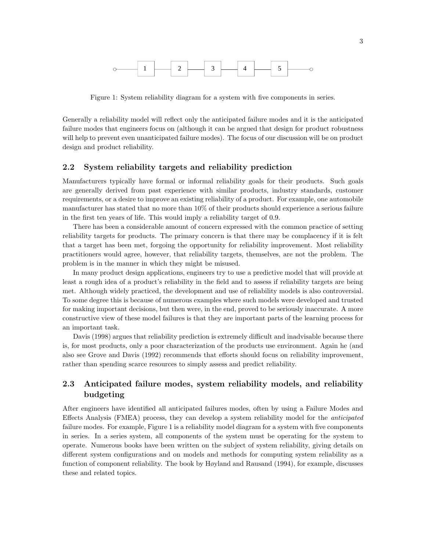

Figure 1: System reliability diagram for a system with five components in series.

Generally a reliability model will reflect only the anticipated failure modes and it is the anticipated failure modes that engineers focus on (although it can be argued that design for product robustness will help to prevent even unanticipated failure modes). The focus of our discussion will be on product design and product reliability.

#### **2.2 System reliability targets and reliability prediction**

Manufacturers typically have formal or informal reliability goals for their products. Such goals are generally derived from past experience with similar products, industry standards, customer requirements, or a desire to improve an existing reliability of a product. For example, one automobile manufacturer has stated that no more than 10% of their products should experience a serious failure in the first ten years of life. This would imply a reliability target of 0.9.

There has been a considerable amount of concern expressed with the common practice of setting reliability targets for products. The primary concern is that there may be complacency if it is felt that a target has been met, forgoing the opportunity for reliability improvement. Most reliability practitioners would agree, however, that reliability targets, themselves, are not the problem. The problem is in the manner in which they might be misused.

In many product design applications, engineers try to use a predictive model that will provide at least a rough idea of a product's reliability in the field and to assess if reliability targets are being met. Although widely practiced, the development and use of reliability models is also controversial. To some degree this is because of numerous examples where such models were developed and trusted for making important decisions, but then were, in the end, proved to be seriously inaccurate. A more constructive view of these model failures is that they are important parts of the learning process for an important task.

Davis (1998) argues that reliability prediction is extremely difficult and inadvisable because there is, for most products, only a poor characterization of the products use environment. Again he (and also see Grove and Davis (1992) recommends that efforts should focus on reliability improvement, rather than spending scarce resources to simply assess and predict reliability.

# **2.3 Anticipated failure modes, system reliability models, and reliability budgeting**

After engineers have identified all anticipated failures modes, often by using a Failure Modes and Effects Analysis (FMEA) process, they can develop a system reliability model for the *anticipated* failure modes. For example, Figure 1 is a reliability model diagram for a system with five components in series. In a series system, all components of the system must be operating for the system to operate. Numerous books have been written on the subject of system reliability, giving details on different system configurations and on models and methods for computing system reliability as a function of component reliability. The book by Høyland and Rausand (1994), for example, discusses these and related topics.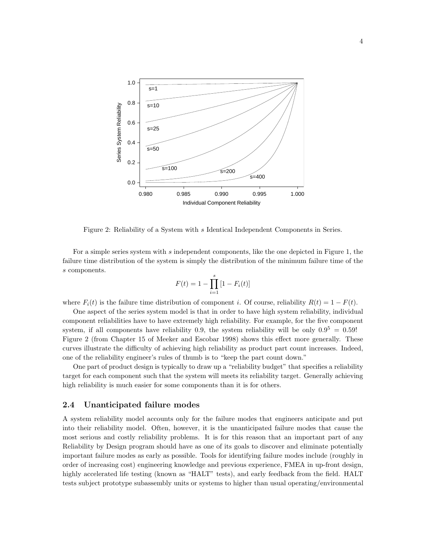

Figure 2: Reliability of a System with s Identical Independent Components in Series.

For a simple series system with  $s$  independent components, like the one depicted in Figure 1, the failure time distribution of the system is simply the distribution of the minimum failure time of the s components.

$$
F(t) = 1 - \prod_{i=1}^{s} [1 - F_i(t)]
$$

where  $F_i(t)$  is the failure time distribution of component i. Of course, reliability  $R(t)=1 - F(t)$ .

One aspect of the series system model is that in order to have high system reliability, individual component reliabilities have to have extremely high reliability. For example, for the five component system, if all components have reliability 0.9, the system reliability will be only  $0.9^5 = 0.59!$ Figure 2 (from Chapter 15 of Meeker and Escobar 1998) shows this effect more generally. These curves illustrate the difficulty of achieving high reliability as product part count increases. Indeed, one of the reliability engineer's rules of thumb is to "keep the part count down."

One part of product design is typically to draw up a "reliability budget" that specifies a reliability target for each component such that the system will meets its reliability target. Generally achieving high reliability is much easier for some components than it is for others.

#### **2.4 Unanticipated failure modes**

A system reliability model accounts only for the failure modes that engineers anticipate and put into their reliability model. Often, however, it is the unanticipated failure modes that cause the most serious and costly reliability problems. It is for this reason that an important part of any Reliability by Design program should have as one of its goals to discover and eliminate potentially important failure modes as early as possible. Tools for identifying failure modes include (roughly in order of increasing cost) engineering knowledge and previous experience, FMEA in up-front design, highly accelerated life testing (known as "HALT" tests), and early feedback from the field. HALT tests subject prototype subassembly units or systems to higher than usual operating/environmental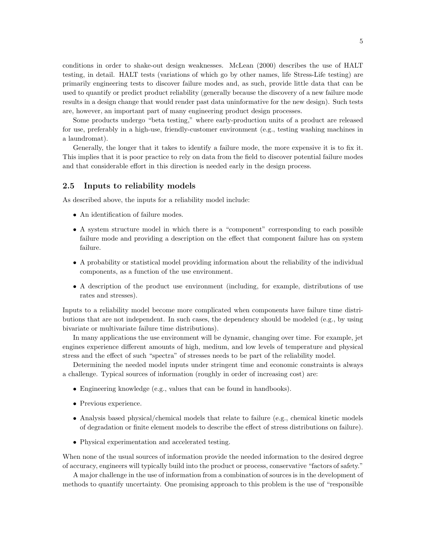conditions in order to shake-out design weaknesses. McLean (2000) describes the use of HALT testing, in detail. HALT tests (variations of which go by other names, life Stress-Life testing) are primarily engineering tests to discover failure modes and, as such, provide little data that can be used to quantify or predict product reliability (generally because the discovery of a new failure mode results in a design change that would render past data uninformative for the new design). Such tests are, however, an important part of many engineering product design processes.

Some products undergo "beta testing," where early-production units of a product are released for use, preferably in a high-use, friendly-customer environment (e.g., testing washing machines in a laundromat).

Generally, the longer that it takes to identify a failure mode, the more expensive it is to fix it. This implies that it is poor practice to rely on data from the field to discover potential failure modes and that considerable effort in this direction is needed early in the design process.

#### **2.5 Inputs to reliability models**

As described above, the inputs for a reliability model include:

- An identification of failure modes.
- A system structure model in which there is a "component" corresponding to each possible failure mode and providing a description on the effect that component failure has on system failure.
- A probability or statistical model providing information about the reliability of the individual components, as a function of the use environment.
- A description of the product use environment (including, for example, distributions of use rates and stresses).

Inputs to a reliability model become more complicated when components have failure time distributions that are not independent. In such cases, the dependency should be modeled (e.g., by using bivariate or multivariate failure time distributions).

In many applications the use environment will be dynamic, changing over time. For example, jet engines experience different amounts of high, medium, and low levels of temperature and physical stress and the effect of such "spectra" of stresses needs to be part of the reliability model.

Determining the needed model inputs under stringent time and economic constraints is always a challenge. Typical sources of information (roughly in order of increasing cost) are:

- Engineering knowledge (e.g., values that can be found in handbooks).
- Previous experience.
- Analysis based physical/chemical models that relate to failure (e.g., chemical kinetic models of degradation or finite element models to describe the effect of stress distributions on failure).
- Physical experimentation and accelerated testing.

When none of the usual sources of information provide the needed information to the desired degree of accuracy, engineers will typically build into the product or process, conservative "factors of safety."

A major challenge in the use of information from a combination of sources is in the development of methods to quantify uncertainty. One promising approach to this problem is the use of "responsible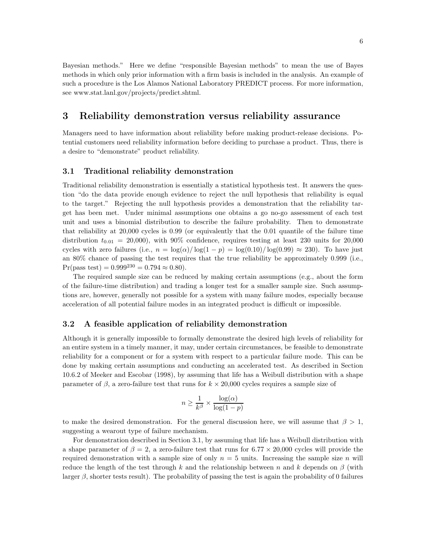Bayesian methods." Here we define "responsible Bayesian methods" to mean the use of Bayes methods in which only prior information with a firm basis is included in the analysis. An example of such a procedure is the Los Alamos National Laboratory PREDICT process. For more information, see www.stat.lanl.gov/projects/predict.shtml.

# **3 Reliability demonstration versus reliability assurance**

Managers need to have information about reliability before making product-release decisions. Potential customers need reliability information before deciding to purchase a product. Thus, there is a desire to "demonstrate" product reliability.

#### **3.1 Traditional reliability demonstration**

Traditional reliability demonstration is essentially a statistical hypothesis test. It answers the question "do the data provide enough evidence to reject the null hypothesis that reliability is equal to the target." Rejecting the null hypothesis provides a demonstration that the reliability target has been met. Under minimal assumptions one obtains a go no-go assessment of each test unit and uses a binomial distribution to describe the failure probability. Then to demonstrate that reliability at 20,000 cycles is 0.99 (or equivalently that the 0.01 quantile of the failure time distribution  $t_{0.01} = 20,000$ , with 90% confidence, requires testing at least 230 units for 20,000 cycles with zero failures (i.e.,  $n = \log(\alpha)/\log(1-p) = \log(0.10)/\log(0.99) \approx 230$ ). To have just an 80% chance of passing the test requires that the true reliability be approximately 0.999 (i.e.,  $Pr(\text{pass test}) = 0.999^{230} = 0.794 \approx 0.80$ .

The required sample size can be reduced by making certain assumptions (e.g., about the form of the failure-time distribution) and trading a longer test for a smaller sample size. Such assumptions are, however, generally not possible for a system with many failure modes, especially because acceleration of all potential failure modes in an integrated product is difficult or impossible.

#### **3.2 A feasible application of reliability demonstration**

Although it is generally impossible to formally demonstrate the desired high levels of reliability for an entire system in a timely manner, it may, under certain circumstances, be feasible to demonstrate reliability for a component or for a system with respect to a particular failure mode. This can be done by making certain assumptions and conducting an accelerated test. As described in Section 10.6.2 of Meeker and Escobar (1998), by assuming that life has a Weibull distribution with a shape parameter of  $\beta$ , a zero-failure test that runs for  $k \times 20,000$  cycles requires a sample size of

$$
n \ge \frac{1}{k^{\beta}} \times \frac{\log(\alpha)}{\log(1-p)}
$$

to make the desired demonstration. For the general discussion here, we will assume that  $\beta > 1$ , suggesting a wearout type of failure mechanism.

For demonstration described in Section 3.1, by assuming that life has a Weibull distribution with a shape parameter of  $\beta = 2$ , a zero-failure test that runs for  $6.77 \times 20,000$  cycles will provide the required demonstration with a sample size of only  $n = 5$  units. Increasing the sample size n will reduce the length of the test through k and the relationship between n and k depends on  $\beta$  (with larger  $\beta$ , shorter tests result). The probability of passing the test is again the probability of 0 failures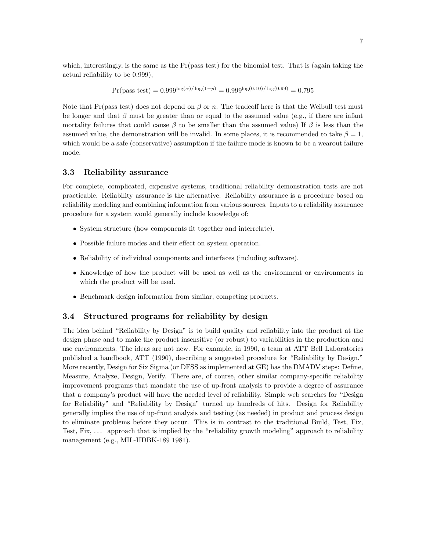which, interestingly, is the same as the Pr(pass test) for the binomial test. That is (again taking the actual reliability to be 0.999),

Pr(pass test) =  $0.999^{\log(\alpha)/\log(1-p)} = 0.999^{\log(0.10)/\log(0.99)} = 0.795$ 

Note that Pr(pass test) does not depend on  $\beta$  or n. The tradeoff here is that the Weibull test must be longer and that  $\beta$  must be greater than or equal to the assumed value (e.g., if there are infant mortality failures that could cause  $\beta$  to be smaller than the assumed value) If  $\beta$  is less than the assumed value, the demonstration will be invalid. In some places, it is recommended to take  $\beta = 1$ , which would be a safe (conservative) assumption if the failure mode is known to be a wearout failure mode.

#### **3.3 Reliability assurance**

For complete, complicated, expensive systems, traditional reliability demonstration tests are not practicable. Reliability assurance is the alternative. Reliability assurance is a procedure based on reliability modeling and combining information from various sources. Inputs to a reliability assurance procedure for a system would generally include knowledge of:

- System structure (how components fit together and interrelate).
- Possible failure modes and their effect on system operation.
- Reliability of individual components and interfaces (including software).
- Knowledge of how the product will be used as well as the environment or environments in which the product will be used.
- Benchmark design information from similar, competing products.

#### **3.4 Structured programs for reliability by design**

The idea behind "Reliability by Design" is to build quality and reliability into the product at the design phase and to make the product insensitive (or robust) to variabilities in the production and use environments. The ideas are not new. For example, in 1990, a team at ATT Bell Laboratories published a handbook, ATT (1990), describing a suggested procedure for "Reliability by Design." More recently, Design for Six Sigma (or DFSS as implemented at GE) has the DMADV steps: Define, Measure, Analyze, Design, Verify. There are, of course, other similar company-specific reliability improvement programs that mandate the use of up-front analysis to provide a degree of assurance that a company's product will have the needed level of reliability. Simple web searches for "Design for Reliability" and "Reliability by Design" turned up hundreds of hits. Design for Reliability generally implies the use of up-front analysis and testing (as needed) in product and process design to eliminate problems before they occur. This is in contrast to the traditional Build, Test, Fix, Test, Fix, ... approach that is implied by the "reliability growth modeling" approach to reliability management (e.g., MIL-HDBK-189 1981).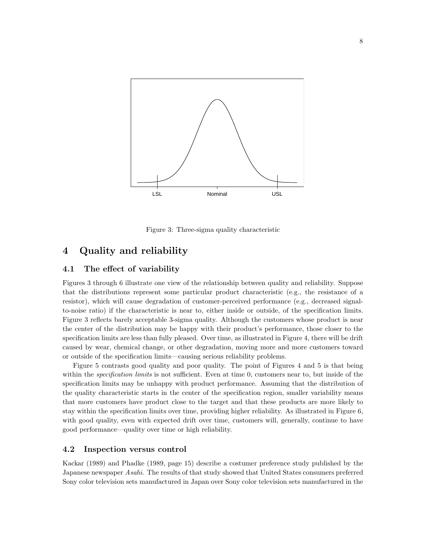

Figure 3: Three-sigma quality characteristic

# **4 Quality and reliability**

### **4.1 The effect of variability**

Figures 3 through 6 illustrate one view of the relationship between quality and reliability. Suppose that the distributions represent some particular product characteristic (e.g., the resistance of a resistor), which will cause degradation of customer-perceived performance (e.g., decreased signalto-noise ratio) if the characteristic is near to, either inside or outside, of the specification limits. Figure 3 reflects barely acceptable 3-sigma quality. Although the customers whose product is near the center of the distribution may be happy with their product's performance, those closer to the specification limits are less than fully pleased. Over time, as illustrated in Figure 4, there will be drift caused by wear, chemical change, or other degradation, moving more and more customers toward or outside of the specification limits—causing serious reliability problems.

Figure 5 contrasts good quality and poor quality. The point of Figures 4 and 5 is that being within the *specification limits* is not sufficient. Even at time 0, customers near to, but inside of the specification limits may be unhappy with product performance. Assuming that the distribution of the quality characteristic starts in the center of the specification region, smaller variability means that more customers have product close to the target and that these products are more likely to stay within the specification limits over time, providing higher reliability. As illustrated in Figure 6, with good quality, even with expected drift over time, customers will, generally, continue to have good performance—quality over time or high reliability.

#### **4.2 Inspection versus control**

Kackar (1989) and Phadke (1989, page 15) describe a costumer preference study published by the Japanese newspaper *Asahi*. The results of that study showed that United States consumers preferred Sony color television sets manufactured in Japan over Sony color television sets manufactured in the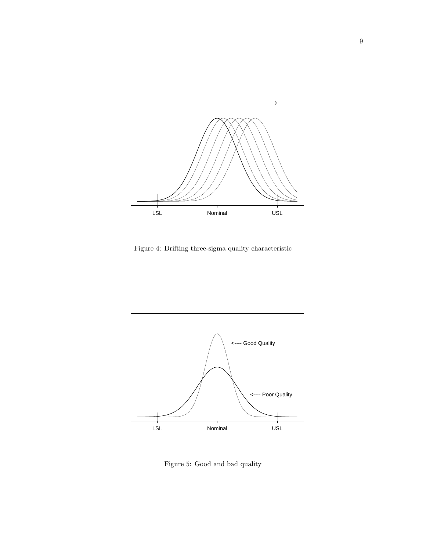

Figure 4: Drifting three-sigma quality characteristic



Figure 5: Good and bad quality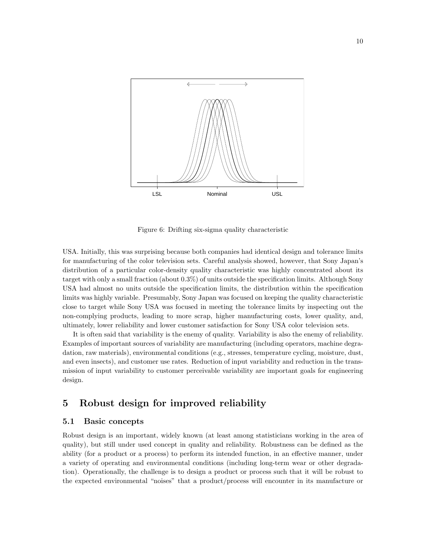

Figure 6: Drifting six-sigma quality characteristic

USA. Initially, this was surprising because both companies had identical design and tolerance limits for manufacturing of the color television sets. Careful analysis showed, however, that Sony Japan's distribution of a particular color-density quality characteristic was highly concentrated about its target with only a small fraction (about 0.3%) of units outside the specification limits. Although Sony USA had almost no units outside the specification limits, the distribution within the specification limits was highly variable. Presumably, Sony Japan was focused on keeping the quality characteristic close to target while Sony USA was focused in meeting the tolerance limits by inspecting out the non-complying products, leading to more scrap, higher manufacturing costs, lower quality, and, ultimately, lower reliability and lower customer satisfaction for Sony USA color television sets.

It is often said that variability is the enemy of quality. Variability is also the enemy of reliability. Examples of important sources of variability are manufacturing (including operators, machine degradation, raw materials), environmental conditions (e.g., stresses, temperature cycling, moisture, dust, and even insects), and customer use rates. Reduction of input variability and reduction in the transmission of input variability to customer perceivable variability are important goals for engineering design.

# **5 Robust design for improved reliability**

#### **5.1 Basic concepts**

Robust design is an important, widely known (at least among statisticians working in the area of quality), but still under used concept in quality and reliability. Robustness can be defined as the ability (for a product or a process) to perform its intended function, in an effective manner, under a variety of operating and environmental conditions (including long-term wear or other degradation). Operationally, the challenge is to design a product or process such that it will be robust to the expected environmental "noises" that a product/process will encounter in its manufacture or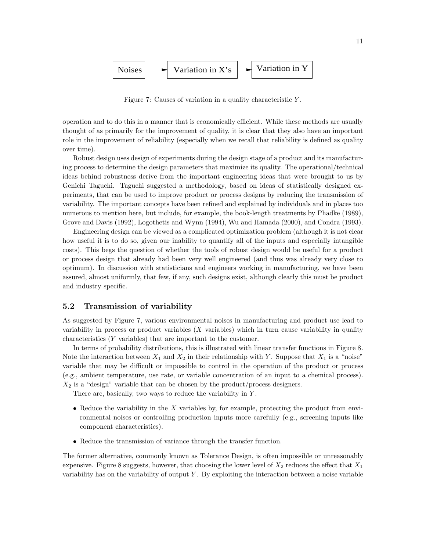

Figure 7: Causes of variation in a quality characteristic Y .

operation and to do this in a manner that is economically efficient. While these methods are usually thought of as primarily for the improvement of quality, it is clear that they also have an important role in the improvement of reliability (especially when we recall that reliability is defined as quality over time).

Robust design uses design of experiments during the design stage of a product and its manufacturing process to determine the design parameters that maximize its quality. The operational/technical ideas behind robustness derive from the important engineering ideas that were brought to us by Genichi Taguchi. Taguchi suggested a methodology, based on ideas of statistically designed experiments, that can be used to improve product or process designs by reducing the transmission of variability. The important concepts have been refined and explained by individuals and in places too numerous to mention here, but include, for example, the book-length treatments by Phadke (1989), Grove and Davis (1992), Logothetis and Wynn (1994), Wu and Hamada (2000), and Condra (1993).

Engineering design can be viewed as a complicated optimization problem (although it is not clear how useful it is to do so, given our inability to quantify all of the inputs and especially intangible costs). This begs the question of whether the tools of robust design would be useful for a product or process design that already had been very well engineered (and thus was already very close to optimum). In discussion with statisticians and engineers working in manufacturing, we have been assured, almost uniformly, that few, if any, such designs exist, although clearly this must be product and industry specific.

#### **5.2 Transmission of variability**

As suggested by Figure 7, various environmental noises in manufacturing and product use lead to variability in process or product variables  $(X$  variables) which in turn cause variability in quality characteristics (Y variables) that are important to the customer.

In terms of probability distributions, this is illustrated with linear transfer functions in Figure 8. Note the interaction between  $X_1$  and  $X_2$  in their relationship with Y. Suppose that  $X_1$  is a "noise" variable that may be difficult or impossible to control in the operation of the product or process (e.g., ambient temperature, use rate, or variable concentration of an input to a chemical process).  $X_2$  is a "design" variable that can be chosen by the product/process designers.

There are, basically, two ways to reduce the variability in  $Y$ .

- Reduce the variability in the  $X$  variables by, for example, protecting the product from environmental noises or controlling production inputs more carefully (e.g., screening inputs like component characteristics).
- Reduce the transmission of variance through the transfer function.

The former alternative, commonly known as Tolerance Design, is often impossible or unreasonably expensive. Figure 8 suggests, however, that choosing the lower level of  $X_2$  reduces the effect that  $X_1$ variability has on the variability of output  $Y$ . By exploiting the interaction between a noise variable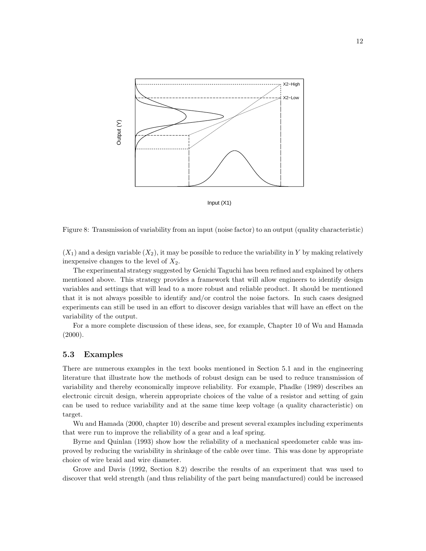

Input (X1)

Figure 8: Transmission of variability from an input (noise factor) to an output (quality characteristic)

 $(X_1)$  and a design variable  $(X_2)$ , it may be possible to reduce the variability in Y by making relatively inexpensive changes to the level of  $X_2$ .

The experimental strategy suggested by Genichi Taguchi has been refined and explained by others mentioned above. This strategy provides a framework that will allow engineers to identify design variables and settings that will lead to a more robust and reliable product. It should be mentioned that it is not always possible to identify and/or control the noise factors. In such cases designed experiments can still be used in an effort to discover design variables that will have an effect on the variability of the output.

For a more complete discussion of these ideas, see, for example, Chapter 10 of Wu and Hamada  $(2000).$ 

#### **5.3 Examples**

There are numerous examples in the text books mentioned in Section 5.1 and in the engineering literature that illustrate how the methods of robust design can be used to reduce transmission of variability and thereby economically improve reliability. For example, Phadke (1989) describes an electronic circuit design, wherein appropriate choices of the value of a resistor and setting of gain can be used to reduce variability and at the same time keep voltage (a quality characteristic) on target.

Wu and Hamada (2000, chapter 10) describe and present several examples including experiments that were run to improve the reliability of a gear and a leaf spring.

Byrne and Quinlan (1993) show how the reliability of a mechanical speedometer cable was improved by reducing the variability in shrinkage of the cable over time. This was done by appropriate choice of wire braid and wire diameter.

Grove and Davis (1992, Section 8.2) describe the results of an experiment that was used to discover that weld strength (and thus reliability of the part being manufactured) could be increased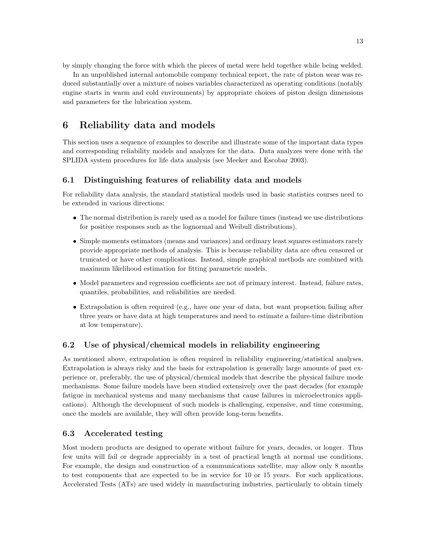by simply changing the force with which the pieces of metal were held together while being welded.

In an unpublished internal automobile company technical report, the rate of piston wear was reduced substantially over a mixture of noises variables characterized as operating conditions (notably engine starts in warm and cold environments) by appropriate choices of piston design dimensions and parameters for the lubrication system.

# **6 Reliability data and models**

This section uses a sequence of examples to describe and illustrate some of the important data types and corresponding reliability models and analyzes for the data. Data analyzes were done with the SPLIDA system procedures for life data analysis (see Meeker and Escobar 2003).

### **6.1 Distinguishing features of reliability data and models**

For reliability data analysis, the standard statistical models used in basic statistics courses need to be extended in various directions:

- The normal distribution is rarely used as a model for failure times (instead we use distributions for positive responses such as the lognormal and Weibull distributions).
- Simple moments estimators (means and variances) and ordinary least squares estimators rarely provide appropriate methods of analysis. This is because reliability data are often censored or truncated or have other complications. Instead, simple graphical methods are combined with maximum likelihood estimation for fitting parametric models.
- Model parameters and regression coefficients are not of primary interest. Instead, failure rates, quantiles, probabilities, and reliabilities are needed.
- Extrapolation is often required (e.g., have one year of data, but want proportion failing after three years or have data at high temperatures and need to estimate a failure-time distribution at low temperature).

### **6.2 Use of physical/chemical models in reliability engineering**

As mentioned above, extrapolation is often required in reliability engineering/statistical analyses. Extrapolation is always risky and the basis for extrapolation is generally large amounts of past experience or, preferably, the use of physical/chemical models that describe the physical failure mode mechanisms. Some failure models have been studied extensively over the past decades (for example fatigue in mechanical systems and many mechanisms that cause failures in microelectronics applications). Although the development of such models is challenging, expensive, and time consuming, once the models are available, they will often provide long-term benefits.

### **6.3 Accelerated testing**

Most modern products are designed to operate without failure for years, decades, or longer. Thus few units will fail or degrade appreciably in a test of practical length at normal use conditions. For example, the design and construction of a communications satellite, may allow only 8 months to test components that are expected to be in service for 10 or 15 years. For such applications, Accelerated Tests (ATs) are used widely in manufacturing industries, particularly to obtain timely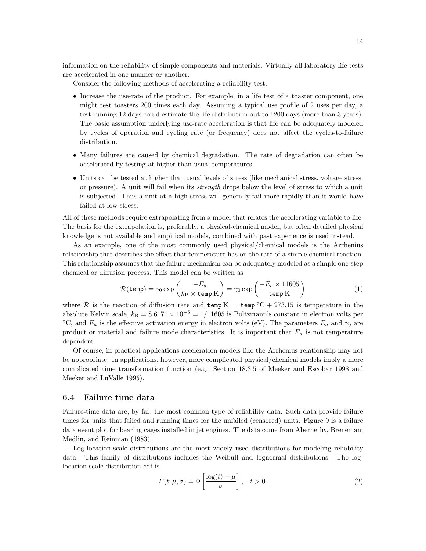information on the reliability of simple components and materials. Virtually all laboratory life tests are accelerated in one manner or another.

Consider the following methods of accelerating a reliability test:

- Increase the use-rate of the product. For example, in a life test of a toaster component, one might test toasters 200 times each day. Assuming a typical use profile of 2 uses per day, a test running 12 days could estimate the life distribution out to 1200 days (more than 3 years). The basic assumption underlying use-rate acceleration is that life can be adequately modeled by cycles of operation and cycling rate (or frequency) does not affect the cycles-to-failure distribution.
- Many failures are caused by chemical degradation. The rate of degradation can often be accelerated by testing at higher than usual temperatures.
- Units can be tested at higher than usual levels of stress (like mechanical stress, voltage stress, or pressure). A unit will fail when its *strength* drops below the level of stress to which a unit is subjected. Thus a unit at a high stress will generally fail more rapidly than it would have failed at low stress.

All of these methods require extrapolating from a model that relates the accelerating variable to life. The basis for the extrapolation is, preferably, a physical-chemical model, but often detailed physical knowledge is not available and empirical models, combined with past experience is used instead.

As an example, one of the most commonly used physical/chemical models is the Arrhenius relationship that describes the effect that temperature has on the rate of a simple chemical reaction. This relationship assumes that the failure mechanism can be adequately modeled as a simple one-step chemical or diffusion process. This model can be written as

$$
\mathcal{R}(\text{temp}) = \gamma_0 \exp\left(\frac{-E_a}{k_B \times \text{temp K}}\right) = \gamma_0 \exp\left(\frac{-E_a \times 11605}{\text{temp K}}\right) \tag{1}
$$

where R is the reaction of diffusion rate and  $\text{temp K} = \text{temp} \, {}^{\circ}\text{C} + 273.15$  is temperature in the absolute Kelvin scale,  $k_{\text{B}} = 8.6171 \times 10^{-5} = 1/11605$  is Boltzmann's constant in electron volts per °C, and  $E_a$  is the effective activation energy in electron volts (eV). The parameters  $E_a$  and  $\gamma_0$  are product or material and failure mode characteristics. It is important that  $E_a$  is not temperature dependent.

Of course, in practical applications acceleration models like the Arrhenius relationship may not be appropriate. In applications, however, more complicated physical/chemical models imply a more complicated time transformation function (e.g., Section 18.3.5 of Meeker and Escobar 1998 and Meeker and LuValle 1995).

### **6.4 Failure time data**

Failure-time data are, by far, the most common type of reliability data. Such data provide failure times for units that failed and running times for the unfailed (censored) units. Figure 9 is a failure data event plot for bearing cages installed in jet engines. The data come from Abernethy, Breneman, Medlin, and Reinman (1983).

Log-location-scale distributions are the most widely used distributions for modeling reliability data. This family of distributions includes the Weibull and lognormal distributions. The loglocation-scale distribution cdf is

$$
F(t; \mu, \sigma) = \Phi\left[\frac{\log(t) - \mu}{\sigma}\right], \quad t > 0.
$$
 (2)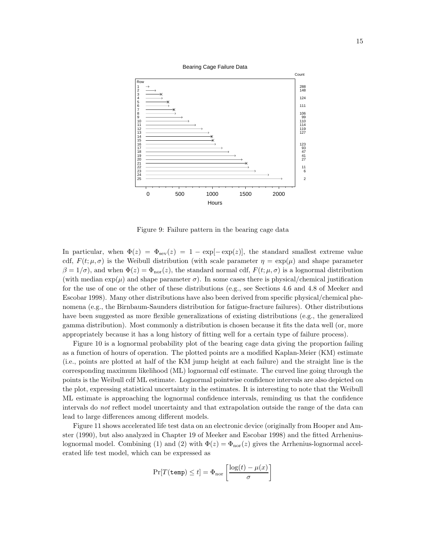



Figure 9: Failure pattern in the bearing cage data

In particular, when  $\Phi(z)=\Phi_{\rm sev}(z)=1-\exp[-\exp(z)]$ , the standard smallest extreme value cdf,  $F(t; \mu, \sigma)$  is the Weibull distribution (with scale parameter  $\eta = \exp(\mu)$  and shape parameter  $\beta = 1/\sigma$ , and when  $\Phi(z) = \Phi_{\text{nor}}(z)$ , the standard normal cdf,  $F(t; \mu, \sigma)$  is a lognormal distribution (with median  $\exp(\mu)$  and shape parameter  $\sigma$ ). In some cases there is physical/chemical justification for the use of one or the other of these distributions (e.g., see Sections 4.6 and 4.8 of Meeker and Escobar 1998). Many other distributions have also been derived from specific physical/chemical phenomena (e.g., the Birnbaum-Saunders distribution for fatigue-fracture failures). Other distributions have been suggested as more flexible generalizations of existing distributions (e.g., the generalized gamma distribution). Most commonly a distribution is chosen because it fits the data well (or, more appropriately because it has a long history of fitting well for a certain type of failure process).

Figure 10 is a lognormal probability plot of the bearing cage data giving the proportion failing as a function of hours of operation. The plotted points are a modified Kaplan-Meier (KM) estimate (i.e., points are plotted at half of the KM jump height at each failure) and the straight line is the corresponding maximum likelihood (ML) lognormal cdf estimate. The curved line going through the points is the Weibull cdf ML estimate. Lognormal pointwise confidence intervals are also depicted on the plot, expressing statistical uncertainty in the estimates. It is interesting to note that the Weibull ML estimate is approaching the lognormal confidence intervals, reminding us that the confidence intervals do *not* reflect model uncertainty and that extrapolation outside the range of the data can lead to large differences among different models.

Figure 11 shows accelerated life test data on an electronic device (originally from Hooper and Amster (1990), but also analyzed in Chapter 19 of Meeker and Escobar 1998) and the fitted Arrheniuslognormal model. Combining (1) and (2) with  $\Phi(z)=\Phi_{\rm nor}(z)$  gives the Arrhenius-lognormal accelerated life test model, which can be expressed as

$$
\Pr[T(\text{temp}) \le t] = \Phi_{\text{nor}}\left[\frac{\log(t) - \mu(x)}{\sigma}\right]
$$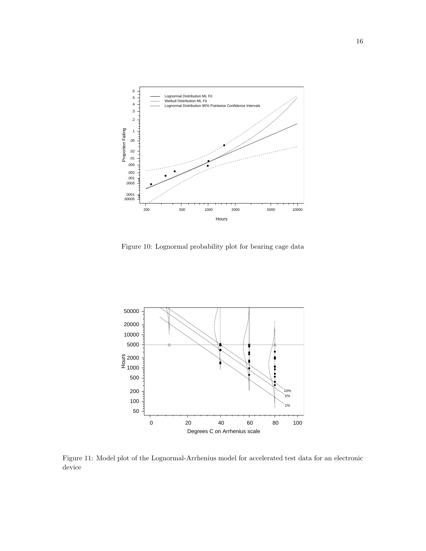

Figure 10: Lognormal probability plot for bearing cage data



Figure 11: Model plot of the Lognormal-Arrhenius model for accelerated test data for an electronic device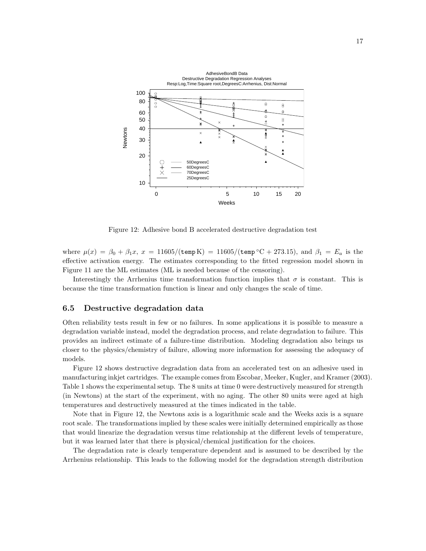

Figure 12: Adhesive bond B accelerated destructive degradation test

where  $\mu(x) = \beta_0 + \beta_1 x$ ,  $x = 11605/(\text{temp K}) = 11605/(\text{temp }^{\circ}C + 273.15)$ , and  $\beta_1 = E_a$  is the effective activation energy. The estimates corresponding to the fitted regression model shown in Figure 11 are the ML estimates (ML is needed because of the censoring).

Interestingly the Arrhenius time transformation function implies that  $\sigma$  is constant. This is because the time transformation function is linear and only changes the scale of time.

#### **6.5 Destructive degradation data**

Often reliability tests result in few or no failures. In some applications it is possible to measure a degradation variable instead, model the degradation process, and relate degradation to failure. This provides an indirect estimate of a failure-time distribution. Modeling degradation also brings us closer to the physics/chemistry of failure, allowing more information for assessing the adequacy of models.

Figure 12 shows destructive degradation data from an accelerated test on an adhesive used in manufacturing inkjet cartridges. The example comes from Escobar, Meeker, Kugler, and Kramer (2003). Table 1 shows the experimental setup. The 8 units at time 0 were destructively measured for strength (in Newtons) at the start of the experiment, with no aging. The other 80 units were aged at high temperatures and destructively measured at the times indicated in the table.

Note that in Figure 12, the Newtons axis is a logarithmic scale and the Weeks axis is a square root scale. The transformations implied by these scales were initially determined empirically as those that would linearize the degradation versus time relationship at the different levels of temperature, but it was learned later that there is physical/chemical justification for the choices.

The degradation rate is clearly temperature dependent and is assumed to be described by the Arrhenius relationship. This leads to the following model for the degradation strength distribution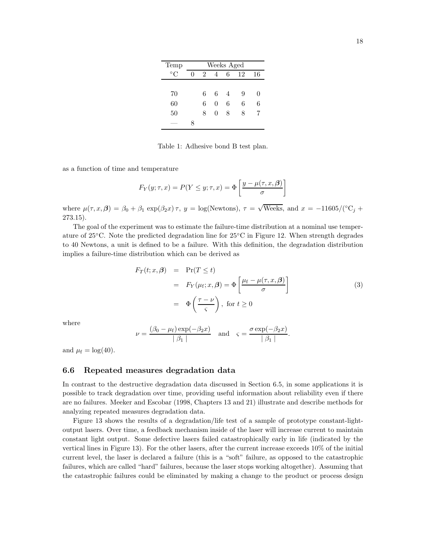| Temp        | Weeks Aged |                |          |   |    |              |
|-------------|------------|----------------|----------|---|----|--------------|
| $^{\circ}C$ | 0          | $\mathfrak{D}$ | 4        | 6 | 12 | 16           |
|             |            |                |          |   |    |              |
| 70          |            | 6              | 6        | 4 | 9  | $\mathbf{0}$ |
| 60          |            | 6              | $\Omega$ | 6 | 6  | 6            |
| 50          |            | 8              | 0        | 8 | 8  | 7            |
|             |            |                |          |   |    |              |

Table 1: Adhesive bond B test plan.

as a function of time and temperature

$$
F_Y(y; \tau, x) = P(Y \le y; \tau, x) = \Phi\left[\frac{y - \mu(\tau, x, \beta)}{\sigma}\right]
$$

where  $\mu(\tau, x, \beta) = \beta_0 + \beta_1 \exp(\beta_2 x) \tau$ ,  $y = \log(\text{Newtons})$ ,  $\tau = \sqrt{\text{Weeks}}$ , and  $x = -11605/({\degree}C_j +$ 273.15).

The goal of the experiment was to estimate the failure-time distribution at a nominal use temperature of 25◦C. Note the predicted degradation line for 25◦C in Figure 12. When strength degrades to 40 Newtons, a unit is defined to be a failure. With this definition, the degradation distribution implies a failure-time distribution which can be derived as

$$
F_T(t; x, \beta) = \Pr(T \le t)
$$
  
=  $F_Y(\mu_f; x, \beta) = \Phi\left[\frac{\mu_f - \mu(\tau, x, \beta)}{\sigma}\right]$   
=  $\Phi\left(\frac{\tau - \nu}{\varsigma}\right)$ , for  $t \ge 0$  (3)

where

$$
\nu = \frac{(\beta_0 - \mu_f) \exp(-\beta_2 x)}{|\beta_1|} \quad \text{and} \quad \varsigma = \frac{\sigma \exp(-\beta_2 x)}{|\beta_1|}.
$$

and  $\mu_{\rm f} = \log(40)$ .

### **6.6 Repeated measures degradation data**

In contrast to the destructive degradation data discussed in Section 6.5, in some applications it is possible to track degradation over time, providing useful information about reliability even if there are no failures. Meeker and Escobar (1998, Chapters 13 and 21) illustrate and describe methods for analyzing repeated measures degradation data.

Figure 13 shows the results of a degradation/life test of a sample of prototype constant-lightoutput lasers. Over time, a feedback mechanism inside of the laser will increase current to maintain constant light output. Some defective lasers failed catastrophically early in life (indicated by the vertical lines in Figure 13). For the other lasers, after the current increase exceeds 10% of the initial current level, the laser is declared a failure (this is a "soft" failure, as opposed to the catastrophic failures, which are called "hard" failures, because the laser stops working altogether). Assuming that the catastrophic failures could be eliminated by making a change to the product or process design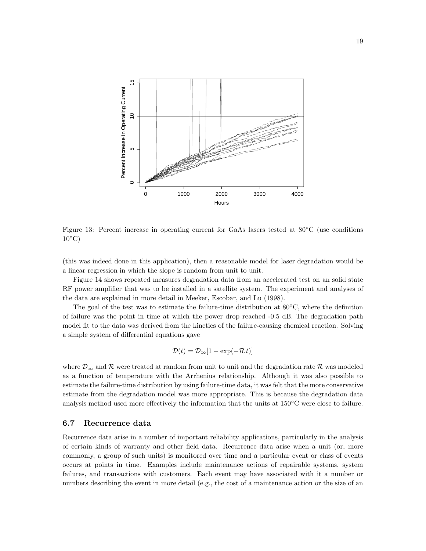

Figure 13: Percent increase in operating current for GaAs lasers tested at 80◦C (use conditions  $10^{\circ}$ C)

(this was indeed done in this application), then a reasonable model for laser degradation would be a linear regression in which the slope is random from unit to unit.

Figure 14 shows repeated measures degradation data from an accelerated test on an solid state RF power amplifier that was to be installed in a satellite system. The experiment and analyses of the data are explained in more detail in Meeker, Escobar, and Lu (1998).

The goal of the test was to estimate the failure-time distribution at 80◦C, where the definition of failure was the point in time at which the power drop reached -0.5 dB. The degradation path model fit to the data was derived from the kinetics of the failure-causing chemical reaction. Solving a simple system of differential equations gave

$$
\mathcal{D}(t) = \mathcal{D}_{\infty}[1 - \exp(-\mathcal{R} t)]
$$

where  $\mathcal{D}_{\infty}$  and R were treated at random from unit to unit and the degradation rate R was modeled as a function of temperature with the Arrhenius relationship. Although it was also possible to estimate the failure-time distribution by using failure-time data, it was felt that the more conservative estimate from the degradation model was more appropriate. This is because the degradation data analysis method used more effectively the information that the units at 150◦C were close to failure.

#### **6.7 Recurrence data**

Recurrence data arise in a number of important reliability applications, particularly in the analysis of certain kinds of warranty and other field data. Recurrence data arise when a unit (or, more commonly, a group of such units) is monitored over time and a particular event or class of events occurs at points in time. Examples include maintenance actions of repairable systems, system failures, and transactions with customers. Each event may have associated with it a number or numbers describing the event in more detail (e.g., the cost of a maintenance action or the size of an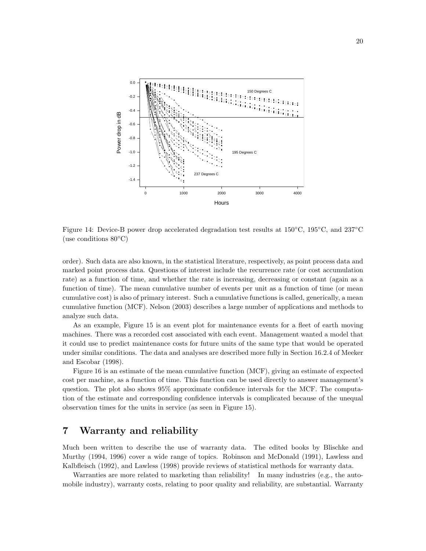

Figure 14: Device-B power drop accelerated degradation test results at 150◦C, 195◦C, and 237◦C (use conditions  $80^{\circ}$ C)

order). Such data are also known, in the statistical literature, respectively, as point process data and marked point process data. Questions of interest include the recurrence rate (or cost accumulation rate) as a function of time, and whether the rate is increasing, decreasing or constant (again as a function of time). The mean cumulative number of events per unit as a function of time (or mean cumulative cost) is also of primary interest. Such a cumulative functions is called, generically, a mean cumulative function (MCF). Nelson (2003) describes a large number of applications and methods to analyze such data.

As an example, Figure 15 is an event plot for maintenance events for a fleet of earth moving machines. There was a recorded cost associated with each event. Management wanted a model that it could use to predict maintenance costs for future units of the same type that would be operated under similar conditions. The data and analyses are described more fully in Section 16.2.4 of Meeker and Escobar (1998).

Figure 16 is an estimate of the mean cumulative function (MCF), giving an estimate of expected cost per machine, as a function of time. This function can be used directly to answer management's question. The plot also shows 95% approximate confidence intervals for the MCF. The computation of the estimate and corresponding confidence intervals is complicated because of the unequal observation times for the units in service (as seen in Figure 15).

# **7 Warranty and reliability**

Much been written to describe the use of warranty data. The edited books by Blischke and Murthy (1994, 1996) cover a wide range of topics. Robinson and McDonald (1991), Lawless and Kalbfleisch (1992), and Lawless (1998) provide reviews of statistical methods for warranty data.

Warranties are more related to marketing than reliability! In many industries (e.g., the automobile industry), warranty costs, relating to poor quality and reliability, are substantial. Warranty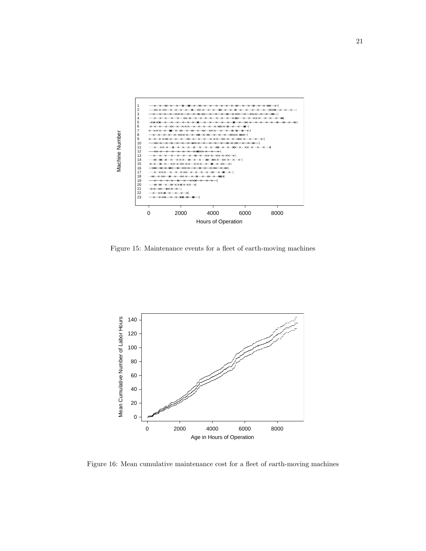

Figure 15: Maintenance events for a fleet of earth-moving machines



Figure 16: Mean cumulative maintenance cost for a fleet of earth-moving machines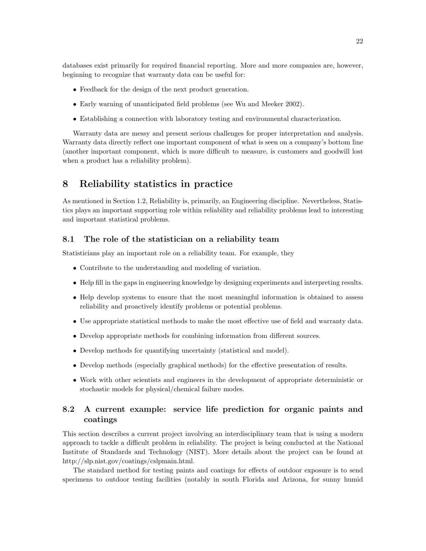databases exist primarily for required financial reporting. More and more companies are, however, beginning to recognize that warranty data can be useful for:

- Feedback for the design of the next product generation.
- Early warning of unanticipated field problems (see Wu and Meeker 2002).
- Establishing a connection with laboratory testing and environmental characterization.

Warranty data are messy and present serious challenges for proper interpretation and analysis. Warranty data directly reflect one important component of what is seen on a company's bottom line (another important component, which is more difficult to measure, is customers and goodwill lost when a product has a reliability problem).

# **8 Reliability statistics in practice**

As mentioned in Section 1.2, Reliability is, primarily, an Engineering discipline. Nevertheless, Statistics plays an important supporting role within reliability and reliability problems lead to interesting and important statistical problems.

### **8.1 The role of the statistician on a reliability team**

Statisticians play an important role on a reliability team. For example, they

- Contribute to the understanding and modeling of variation.
- Help fill in the gaps in engineering knowledge by designing experiments and interpreting results.
- Help develop systems to ensure that the most meaningful information is obtained to assess reliability and proactively identify problems or potential problems.
- Use appropriate statistical methods to make the most effective use of field and warranty data.
- Develop appropriate methods for combining information from different sources.
- Develop methods for quantifying uncertainty (statistical and model).
- Develop methods (especially graphical methods) for the effective presentation of results.
- Work with other scientists and engineers in the development of appropriate deterministic or stochastic models for physical/chemical failure modes.

# **8.2 A current example: service life prediction for organic paints and coatings**

This section describes a current project involving an interdisciplinary team that is using a modern approach to tackle a difficult problem in reliability. The project is being conducted at the National Institute of Standards and Technology (NIST). More details about the project can be found at http://slp.nist.gov/coatings/cslpmain.html.

The standard method for testing paints and coatings for effects of outdoor exposure is to send specimens to outdoor testing facilities (notably in south Florida and Arizona, for sunny humid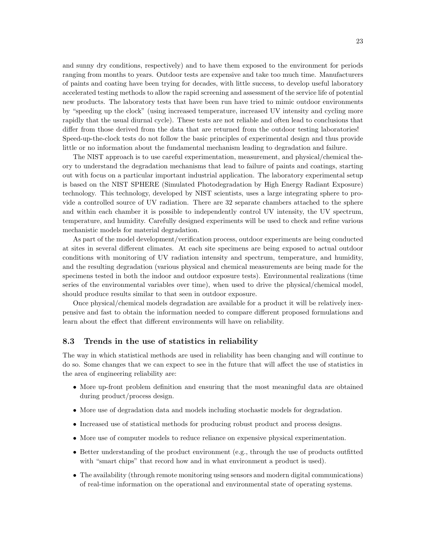and sunny dry conditions, respectively) and to have them exposed to the environment for periods ranging from months to years. Outdoor tests are expensive and take too much time. Manufacturers of paints and coating have been trying for decades, with little success, to develop useful laboratory accelerated testing methods to allow the rapid screening and assessment of the service life of potential new products. The laboratory tests that have been run have tried to mimic outdoor environments by "speeding up the clock" (using increased temperature, increased UV intensity and cycling more rapidly that the usual diurnal cycle). These tests are not reliable and often lead to conclusions that differ from those derived from the data that are returned from the outdoor testing laboratories! Speed-up-the-clock tests do not follow the basic principles of experimental design and thus provide little or no information about the fundamental mechanism leading to degradation and failure.

The NIST approach is to use careful experimentation, measurement, and physical/chemical theory to understand the degradation mechanisms that lead to failure of paints and coatings, starting out with focus on a particular important industrial application. The laboratory experimental setup is based on the NIST SPHERE (Simulated Photodegradation by High Energy Radiant Exposure) technology. This technology, developed by NIST scientists, uses a large integrating sphere to provide a controlled source of UV radiation. There are 32 separate chambers attached to the sphere and within each chamber it is possible to independently control UV intensity, the UV spectrum, temperature, and humidity. Carefully designed experiments will be used to check and refine various mechanistic models for material degradation.

As part of the model development/verification process, outdoor experiments are being conducted at sites in several different climates. At each site specimens are being exposed to actual outdoor conditions with monitoring of UV radiation intensity and spectrum, temperature, and humidity, and the resulting degradation (various physical and chemical measurements are being made for the specimens tested in both the indoor and outdoor exposure tests). Environmental realizations (time series of the environmental variables over time), when used to drive the physical/chemical model, should produce results similar to that seen in outdoor exposure.

Once physical/chemical models degradation are available for a product it will be relatively inexpensive and fast to obtain the information needed to compare different proposed formulations and learn about the effect that different environments will have on reliability.

#### **8.3 Trends in the use of statistics in reliability**

The way in which statistical methods are used in reliability has been changing and will continue to do so. Some changes that we can expect to see in the future that will affect the use of statistics in the area of engineering reliability are:

- More up-front problem definition and ensuring that the most meaningful data are obtained during product/process design.
- More use of degradation data and models including stochastic models for degradation.
- Increased use of statistical methods for producing robust product and process designs.
- More use of computer models to reduce reliance on expensive physical experimentation.
- Better understanding of the product environment (e.g., through the use of products outfitted with "smart chips" that record how and in what environment a product is used).
- The availability (through remote monitoring using sensors and modern digital communications) of real-time information on the operational and environmental state of operating systems.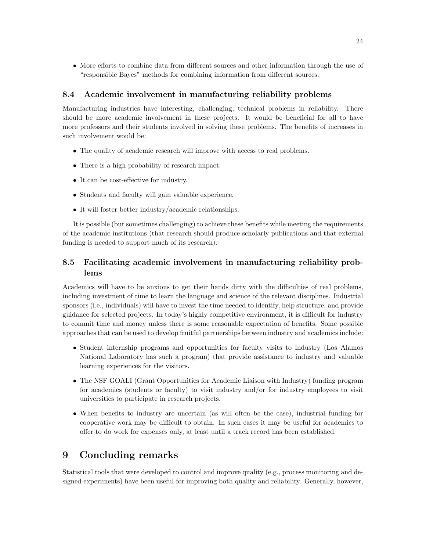• More efforts to combine data from different sources and other information through the use of "responsible Bayes" methods for combining information from different sources.

### **8.4 Academic involvement in manufacturing reliability problems**

Manufacturing industries have interesting, challenging, technical problems in reliability. There should be more academic involvement in these projects. It would be beneficial for all to have more professors and their students involved in solving these problems. The benefits of increases in such involvement would be:

- The quality of academic research will improve with access to real problems.
- There is a high probability of research impact.
- It can be cost-effective for industry.
- Students and faculty will gain valuable experience.
- It will foster better industry/academic relationships.

It is possible (but sometimes challenging) to achieve these benefits while meeting the requirements of the academic institutions (that research should produce scholarly publications and that external funding is needed to support much of its research).

# **8.5 Facilitating academic involvement in manufacturing reliability problems**

Academics will have to be anxious to get their hands dirty with the difficulties of real problems, including investment of time to learn the language and science of the relevant disciplines. Industrial sponsors (i.e., individuals) will have to invest the time needed to identify, help structure, and provide guidance for selected projects. In today's highly competitive environment, it is difficult for industry to commit time and money unless there is some reasonable expectation of benefits. Some possible approaches that can be used to develop fruitful partnerships between industry and academics include:

- Student internship programs and opportunities for faculty visits to industry (Los Alamos National Laboratory has such a program) that provide assistance to industry and valuable learning experiences for the visitors.
- The NSF GOALI (Grant Opportunities for Academic Liaison with Industry) funding program for academics (students or faculty) to visit industry and/or for industry employees to visit universities to participate in research projects.
- When benefits to industry are uncertain (as will often be the case), industrial funding for cooperative work may be difficult to obtain. In such cases it may be useful for academics to offer to do work for expenses only, at least until a track record has been established.

# **9 Concluding remarks**

Statistical tools that were developed to control and improve quality (e.g., process monitoring and designed experiments) have been useful for improving both quality and reliability. Generally, however,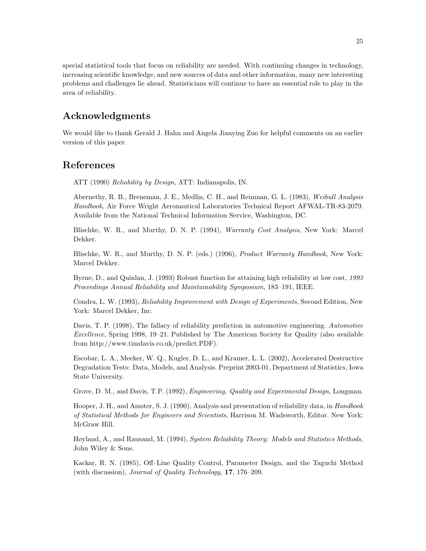special statistical tools that focus on reliability are needed. With continuing changes in technology, increasing scientific knowledge, and new sources of data and other information, many new interesting problems and challenges lie ahead. Statisticians will continue to have an essential role to play in the area of reliability.

# **Acknowledgments**

We would like to thank Gerald J. Hahn and Angela Jianying Zuo for helpful comments on an earlier version of this paper.

# **References**

ATT (1990) *Reliability by Design*, ATT: Indianapolis, IN.

Abernethy, R. B., Breneman, J. E., Medlin, C. H., and Reinman, G. L. (1983), *Weibull Analysis Handbook*, Air Force Wright Aeronautical Laboratories Technical Report AFWAL-TR-83-2079. Available from the National Technical Information Service, Washington, DC.

Blischke, W. R., and Murthy, D. N. P. (1994), *Warranty Cost Analysis*, New York: Marcel Dekker.

Blischke, W. R., and Murthy, D. N. P. (eds.) (1996), *Product Warranty Handbook*, New York: Marcel Dekker.

Byrne, D., and Quinlan, J. (1993) Robust function for attaining high reliability at low cost, *1993 Proceedings Annual Reliability and Maintainability Symposium*, 183–191, IEEE.

Condra, L. W. (1993), *Reliability Improvement with Design of Experiments*, Second Edition, New York: Marcel Dekker, Inc.

Davis, T. P. (1998), The fallacy of reliability prediction in automotive engineering. *Automotive Excellence*, Spring 1998, 19–21. Published by The American Society for Quality (also available from http://www.timdavis.co.uk/predict.PDF).

Escobar, L. A., Meeker, W. Q., Kugler, D. L., and Kramer, L. L. (2002), Accelerated Destructive Degradation Tests: Data, Models, and Analysis. Preprint 2003-01, Department of Statistics, Iowa State University.

Grove, D. M., and Davis, T.P. (1992), *Engineering, Quality and Experimental Design*, Longman.

Hooper, J. H., and Amster, S. J. (1990), Analysis and presentation of reliability data, in *Handbook of Statistical Methods for Engineers and Scientists*, Harrison M. Wadsworth, Editor. New York: McGraw Hill.

Høyland, A., and Rausand, M. (1994), *System Reliability Theory: Models and Statistics Methods*, John Wiley & Sons.

Kackar, R. N. (1985), Off–Line Quality Control, Parameter Design, and the Taguchi Method (with discussion), *Journal of Quality Technology,* **17**, 176–209.